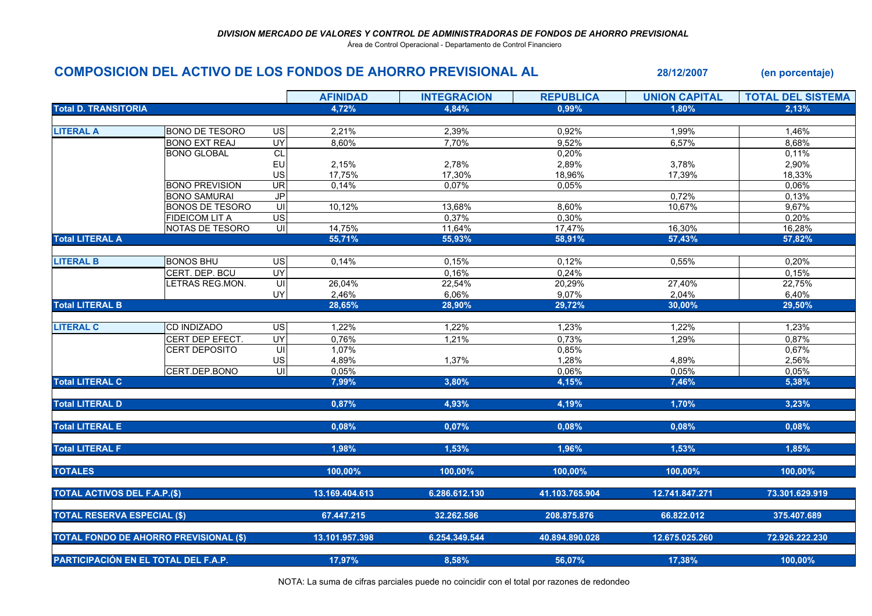Área de Control Operacional - Departamento de Control Financiero

## COMPOSICION DEL ACTIVO DE LOS FONDOS DE AHORRO PREVISIONAL AL 28/12/2007 (en porcentaje)

|                                               |                        |                                     | <b>AFINIDAD</b> | <b>INTEGRACION</b> | <b>REPUBLICA</b> | <b>UNION CAPITAL</b> | <b>TOTAL DEL SISTEMA</b> |
|-----------------------------------------------|------------------------|-------------------------------------|-----------------|--------------------|------------------|----------------------|--------------------------|
| <b>Total D. TRANSITORIA</b>                   |                        |                                     | 4,72%           | 4,84%              | 0,99%            | 1,80%                | 2,13%                    |
|                                               |                        |                                     |                 |                    |                  |                      |                          |
| <b>LITERAL A</b>                              | <b>BONO DE TESORO</b>  | US                                  | 2,21%           | 2,39%              | 0,92%            | 1,99%                | 1,46%                    |
|                                               | <b>BONO EXT REAJ</b>   | <b>UY</b>                           | 8,60%           | 7,70%              | 9,52%            | 6,57%                | 8,68%                    |
|                                               | <b>BONO GLOBAL</b>     | CL                                  |                 |                    | 0,20%            |                      | 0,11%                    |
|                                               |                        | EU                                  | 2,15%           | 2,78%              | 2,89%            | 3,78%                | 2,90%                    |
|                                               |                        | US                                  | 17,75%          | 17,30%             | 18,96%           | 17,39%               | 18,33%                   |
|                                               | <b>BONO PREVISION</b>  | $\overline{5}$                      | 0,14%           | 0,07%              | 0,05%            |                      | 0,06%                    |
|                                               | <b>BONO SAMURAI</b>    | $\overline{\mathbf{0}}$             |                 |                    |                  | 0,72%                | 0,13%                    |
|                                               | <b>BONOS DE TESORO</b> | S                                   | 10,12%          | 13,68%             | 8,60%            | 10,67%               | 9,67%                    |
|                                               | <b>FIDEICOM LIT A</b>  | US                                  |                 | 0,37%              | 0,30%            |                      | 0,20%                    |
|                                               | NOTAS DE TESORO        | $\overline{\underline{\mathsf{c}}}$ | 14,75%          | 11,64%             | 17,47%           | 16,30%               | 16,28%                   |
| <b>Total LITERAL A</b>                        |                        |                                     | 55,71%          | 55,93%             | 58,91%           | 57,43%               | 57,82%                   |
| <b>LITERAL B</b>                              | <b>BONOS BHU</b>       | <b>US</b>                           | 0,14%           | 0,15%              | 0,12%            | 0,55%                | 0,20%                    |
|                                               | CERT. DEP. BCU         | UY                                  |                 | 0,16%              | 0,24%            |                      | 0,15%                    |
|                                               | LETRAS REG.MON.        | $\overline{\overline{c}}$           | 26,04%          | 22,54%             | 20,29%           | 27,40%               | 22,75%                   |
|                                               |                        | UY                                  | 2,46%           | 6,06%              | 9,07%            | 2,04%                | 6,40%                    |
| <b>Total LITERAL B</b>                        |                        |                                     | 28,65%          | 28,90%             | 29,72%           | 30,00%               | 29,50%                   |
|                                               |                        |                                     |                 |                    |                  |                      |                          |
| <b>LITERAL C</b>                              | <b>CD INDIZADO</b>     | $\overline{S}$                      | 1,22%           | 1,22%              | 1,23%            | 1,22%                | 1,23%                    |
|                                               | CERT DEP EFECT.        | <b>UY</b>                           | 0,76%           | 1,21%              | 0,73%            | 1,29%                | 0,87%                    |
|                                               | <b>CERT DEPOSITO</b>   | $\subseteq$                         | 1,07%           |                    | 0,85%            |                      | 0,67%                    |
|                                               |                        | US                                  | 4,89%           | 1,37%              | 1,28%            | 4,89%                | 2,56%                    |
|                                               | CERT.DEP.BONO          | $\overline{u}$                      | 0,05%           |                    | 0,06%            | 0,05%                | 0,05%                    |
| <b>Total LITERAL C</b>                        |                        |                                     | 7,99%           | 3,80%              | 4,15%            | 7,46%                | 5,38%                    |
|                                               |                        |                                     |                 |                    |                  |                      |                          |
| <b>Total LITERAL D</b>                        |                        |                                     | 0,87%           | 4,93%              | 4,19%            | 1,70%                | 3,23%                    |
| <b>Total LITERAL E</b>                        |                        |                                     | 0,08%           | 0,07%              | 0,08%            | 0,08%                | 0,08%                    |
|                                               |                        |                                     |                 |                    |                  |                      |                          |
| <b>Total LITERAL F</b>                        |                        |                                     | 1,98%           | 1,53%              | 1,96%            | 1,53%                | 1,85%                    |
| <b>TOTALES</b>                                |                        |                                     | 100,00%         | 100,00%            | 100,00%          | 100,00%              | 100,00%                  |
|                                               |                        |                                     |                 |                    |                  |                      |                          |
| <b>TOTAL ACTIVOS DEL F.A.P.(\$)</b>           |                        |                                     | 13.169.404.613  | 6.286.612.130      | 41.103.765.904   | 12.741.847.271       | 73.301.629.919           |
| <b>TOTAL RESERVA ESPECIAL (\$)</b>            |                        |                                     | 67.447.215      | 32.262.586         | 208.875.876      | 66.822.012           | 375.407.689              |
|                                               |                        |                                     |                 |                    |                  |                      |                          |
| <b>TOTAL FONDO DE AHORRO PREVISIONAL (\$)</b> |                        |                                     | 13.101.957.398  | 6.254.349.544      | 40.894.890.028   | 12.675.025.260       | 72.926.222.230           |
| PARTICIPACIÓN EN EL TOTAL DEL F.A.P.          |                        |                                     | 17,97%          | 8,58%              | 56,07%           | 17,38%               | 100,00%                  |

NOTA: La suma de cifras parciales puede no coincidir con el total por razones de redondeo